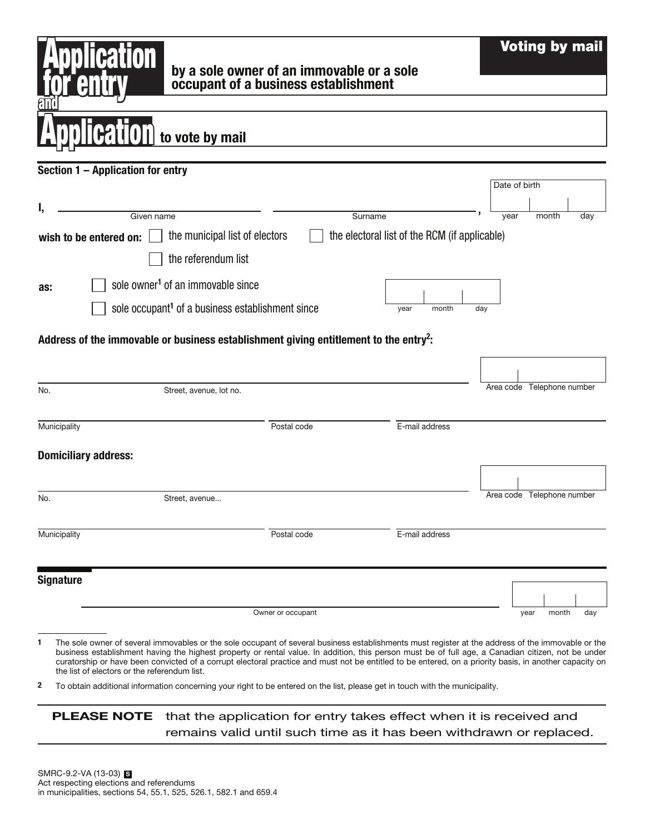|                                                        | by a sole owner of an immovable or a sole<br>occupant of a business establishment                                                                                                                                                                                                                                                                                                                                                                                                                                                                                                                 |                                               | <b>Voting by mail</b>      |
|--------------------------------------------------------|---------------------------------------------------------------------------------------------------------------------------------------------------------------------------------------------------------------------------------------------------------------------------------------------------------------------------------------------------------------------------------------------------------------------------------------------------------------------------------------------------------------------------------------------------------------------------------------------------|-----------------------------------------------|----------------------------|
|                                                        |                                                                                                                                                                                                                                                                                                                                                                                                                                                                                                                                                                                                   |                                               |                            |
|                                                        | to vote by mail                                                                                                                                                                                                                                                                                                                                                                                                                                                                                                                                                                                   |                                               |                            |
| Section 1 - Application for entry                      |                                                                                                                                                                                                                                                                                                                                                                                                                                                                                                                                                                                                   |                                               |                            |
|                                                        |                                                                                                                                                                                                                                                                                                                                                                                                                                                                                                                                                                                                   |                                               | Date of birth              |
| I,<br>Given name                                       |                                                                                                                                                                                                                                                                                                                                                                                                                                                                                                                                                                                                   | Surname                                       | year<br>month<br>day       |
| wish to be entered on:                                 | the municipal list of electors                                                                                                                                                                                                                                                                                                                                                                                                                                                                                                                                                                    | the electoral list of the RCM (if applicable) |                            |
|                                                        | the referendum list                                                                                                                                                                                                                                                                                                                                                                                                                                                                                                                                                                               |                                               |                            |
| as:                                                    | sole owner <sup>1</sup> of an immovable since                                                                                                                                                                                                                                                                                                                                                                                                                                                                                                                                                     |                                               |                            |
|                                                        | sole occupant <sup>1</sup> of a business establishment since                                                                                                                                                                                                                                                                                                                                                                                                                                                                                                                                      | month<br>year                                 | day                        |
| No.                                                    | Street, avenue, lot no.                                                                                                                                                                                                                                                                                                                                                                                                                                                                                                                                                                           |                                               | Area code Telephone number |
| Municipality                                           | Postal code                                                                                                                                                                                                                                                                                                                                                                                                                                                                                                                                                                                       | E-mail address                                |                            |
| <b>Domiciliary address:</b>                            |                                                                                                                                                                                                                                                                                                                                                                                                                                                                                                                                                                                                   |                                               |                            |
| No.                                                    | Street, avenue                                                                                                                                                                                                                                                                                                                                                                                                                                                                                                                                                                                    |                                               | Area code Telephone number |
| Municipality                                           | Postal code                                                                                                                                                                                                                                                                                                                                                                                                                                                                                                                                                                                       | E-mail address                                |                            |
| <b>Signature</b>                                       |                                                                                                                                                                                                                                                                                                                                                                                                                                                                                                                                                                                                   |                                               |                            |
|                                                        | Owner or occupant                                                                                                                                                                                                                                                                                                                                                                                                                                                                                                                                                                                 |                                               | month<br>day<br>year       |
| 1<br>the list of electors or the referendum list.<br>2 | The sole owner of several immovables or the sole occupant of several business establishments must register at the address of the immovable or the<br>business establishment having the highest property or rental value. In addition, this person must be of full age, a Canadian citizen, not be under<br>curatorship or have been convicted of a corrupt electoral practice and must not be entitled to be entered, on a priority basis, in another capacity on<br>To obtain additional information concerning your right to be entered on the list, please get in touch with the municipality. |                                               |                            |

PLEASE NOTE that the application for entry takes effect when it is received and remains valid until such time as it has been withdrawn or replaced.